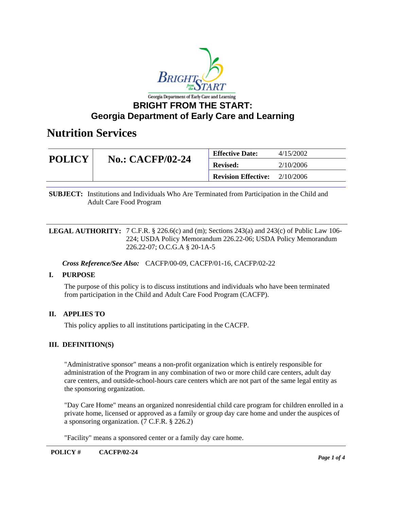

### **BRIGHT FROM THE START: Georgia Department of Early Care and Learning**

### **Nutrition Services**

| <b>POLICY</b> | <b>No.: CACFP/02-24</b> | <b>Effective Date:</b>     | 4/15/2002 |
|---------------|-------------------------|----------------------------|-----------|
|               |                         | <b>Revised:</b>            | 2/10/2006 |
|               |                         | <b>Revision Effective:</b> | 2/10/2006 |

**SUBJECT:** Institutions and Individuals Who Are Terminated from Participation in the Child and Adult Care Food Program

**LEGAL AUTHORITY:** 7 C.F.R. § 226.6(c) and (m); Sections 243(a) and 243(c) of Public Law 106-224; USDA Policy Memorandum 226.22-06; USDA Policy Memorandum 226.22-07; O.C.G.A § 20-1A-5

*Cross Reference/See Also:* CACFP/00-09, CACFP/01-16, CACFP/02-22

#### **I. PURPOSE**

The purpose of this policy is to discuss institutions and individuals who have been terminated from participation in the Child and Adult Care Food Program (CACFP).

#### **II. APPLIES TO**

This policy applies to all institutions participating in the CACFP.

#### **III. DEFINITION(S)**

"Administrative sponsor" means a non-profit organization which is entirely responsible for administration of the Program in any combination of two or more child care centers, adult day care centers, and outside-school-hours care centers which are not part of the same legal entity as the sponsoring organization.

"Day Care Home" means an organized nonresidential child care program for children enrolled in a private home, licensed or approved as a family or group day care home and under the auspices of a sponsoring organization. (7 C.F.R. § 226.2)

"Facility" means a sponsored center or a family day care home.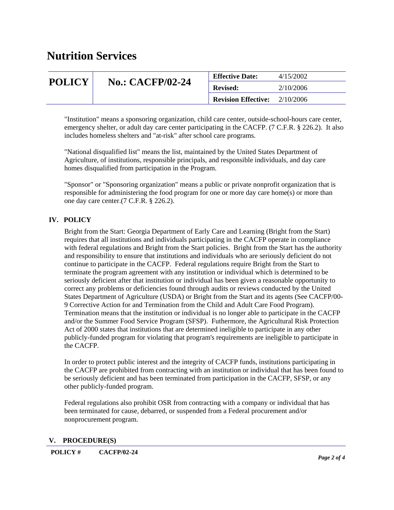## **Nutrition Services**

| <b>POLICY</b> | <b>No.: CACFP/02-24</b> | <b>Effective Date:</b>     | 4/15/2002 |
|---------------|-------------------------|----------------------------|-----------|
|               |                         | <b>Revised:</b>            | 2/10/2006 |
|               |                         | <b>Revision Effective:</b> | 2/10/2006 |

"Institution" means a sponsoring organization, child care center, outside-school-hours care center, emergency shelter, or adult day care center participating in the CACFP. (7 C.F.R. § 226.2). It also includes homeless shelters and "at-risk" after school care programs.

"National disqualified list" means the list, maintained by the United States Department of Agriculture, of institutions, responsible principals, and responsible individuals, and day care homes disqualified from participation in the Program.

"Sponsor" or "Sponsoring organization" means a public or private nonprofit organization that is responsible for administering the food program for one or more day care home(s) or more than one day care center.(7 C.F.R. § 226.2).

#### **IV. POLICY**

Bright from the Start: Georgia Department of Early Care and Learning (Bright from the Start) requires that all institutions and individuals participating in the CACFP operate in compliance with federal regulations and Bright from the Start policies. Bright from the Start has the authority and responsibility to ensure that institutions and individuals who are seriously deficient do not continue to participate in the CACFP. Federal regulations require Bright from the Start to terminate the program agreement with any institution or individual which is determined to be seriously deficient after that institution or individual has been given a reasonable opportunity to correct any problems or deficiencies found through audits or reviews conducted by the United States Department of Agriculture (USDA) or Bright from the Start and its agents (See CACFP/00- 9 Corrective Action for and Termination from the Child and Adult Care Food Program). Termination means that the institution or individual is no longer able to participate in the CACFP and/or the Summer Food Service Program (SFSP). Futhermore, the Agricultural Risk Protection Act of 2000 states that institutions that are determined ineligible to participate in any other publicly-funded program for violating that program's requirements are ineligible to participate in the CACFP.

In order to protect public interest and the integrity of CACFP funds, institutions participating in the CACFP are prohibited from contracting with an institution or individual that has been found to be seriously deficient and has been terminated from participation in the CACFP, SFSP, or any other publicly-funded program.

Federal regulations also prohibit OSR from contracting with a company or individual that has been terminated for cause, debarred, or suspended from a Federal procurement and/or nonprocurement program.

#### **V. PROCEDURE(S)**

**POLICY # CACFP/02-24**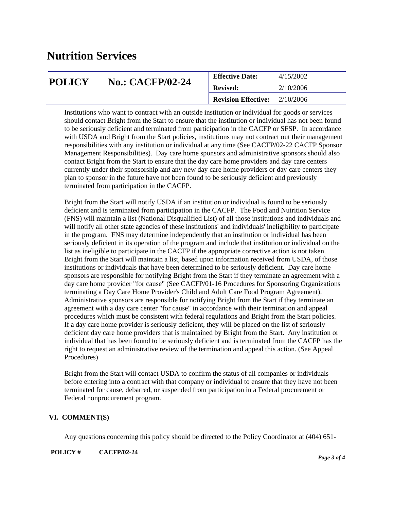## **Nutrition Services**

| <b>POLICY</b> | <b>No.: CACFP/02-24</b> | <b>Effective Date:</b>     | 4/15/2002 |
|---------------|-------------------------|----------------------------|-----------|
|               |                         | <b>Revised:</b>            | 2/10/2006 |
|               |                         | <b>Revision Effective:</b> | 2/10/2006 |

Institutions who want to contract with an outside institution or individual for goods or services should contact Bright from the Start to ensure that the institution or individual has not been found to be seriously deficient and terminated from participation in the CACFP or SFSP. In accordance with USDA and Bright from the Start policies, institutions may not contract out their management responsibilities with any institution or individual at any time (See CACFP/02-22 CACFP Sponsor Management Responsibilities). Day care home sponsors and administrative sponsors should also contact Bright from the Start to ensure that the day care home providers and day care centers currently under their sponsorship and any new day care home providers or day care centers they plan to sponsor in the future have not been found to be seriously deficient and previously terminated from participation in the CACFP.

Bright from the Start will notify USDA if an institution or individual is found to be seriously deficient and is terminated from participation in the CACFP. The Food and Nutrition Service (FNS) will maintain a list (National Disqualified List) of all those institutions and individuals and will notify all other state agencies of these institutions' and individuals' ineligibility to participate in the program. FNS may determine independently that an institution or individual has been seriously deficient in its operation of the program and include that institution or individual on the list as ineligible to participate in the CACFP if the appropriate corrective action is not taken. Bright from the Start will maintain a list, based upon information received from USDA, of those institutions or individuals that have been determined to be seriously deficient. Day care home sponsors are responsible for notifying Bright from the Start if they terminate an agreement with a day care home provider "for cause" (See CACFP/01-16 Procedures for Sponsoring Organizations terminating a Day Care Home Provider's Child and Adult Care Food Program Agreement). Administrative sponsors are responsible for notifying Bright from the Start if they terminate an agreement with a day care center "for cause" in accordance with their termination and appeal procedures which must be consistent with federal regulations and Bright from the Start policies. If a day care home provider is seriously deficient, they will be placed on the list of seriously deficient day care home providers that is maintained by Bright from the Start. Any institution or individual that has been found to be seriously deficient and is terminated from the CACFP has the right to request an administrative review of the termination and appeal this action. (See Appeal Procedures)

Bright from the Start will contact USDA to confirm the status of all companies or individuals before entering into a contract with that company or individual to ensure that they have not been terminated for cause, debarred, or suspended from participation in a Federal procurement or Federal nonprocurement program.

#### **VI. COMMENT(S)**

Any questions concerning this policy should be directed to the Policy Coordinator at (404) 651-